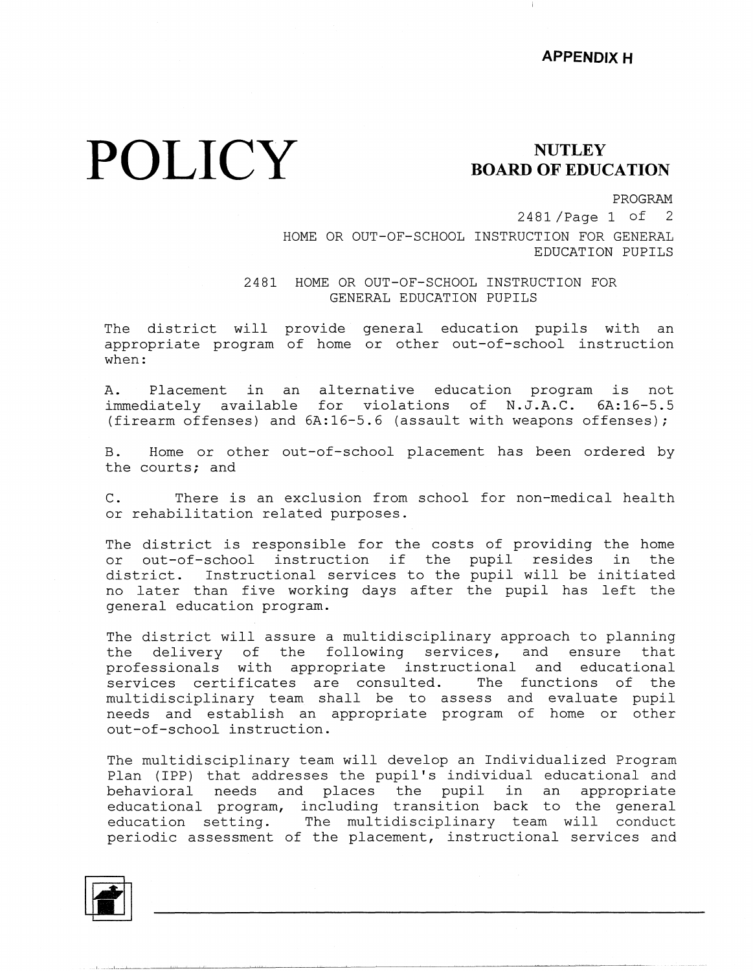## **POLICY**

## **NUTLEY BOARD OF EDUCATION**

PROGRAM

2481 /Page 1 of 2 HOME OR OUT-OF-SCHOOL INSTRUCTION FOR GENERAL EDUCATION PUPILS

2481 HOME OR OUT-OF-SCHOOL INSTRUCTION FOR GENERAL EDUCATION PUPILS

The district will provide general education pupils with an appropriate program of home or other out-of-school instruct when:

A. Placement in an alternative education program is not immediately available for violations of N.J.A.C. 6A:16-5.5 (firearm offenses) and  $6A:16-5.6$  (assault with weapons offenses);

B. Home or other out-of-school placement has been ordered by the courts; and

C. There is an exclusion from school for non-medical health or rehabilitation related purposes.

The district is responsible for the costs of providing the home or out-of-school instruction if the pupil resides in the district. Instructional services to the pupil will be initiated no later than five working days after the pupil has left the general education program.

The district will assure a multidisciplinary approach to planning the delivery of the following services, and ensure tha professionals with appropriate instructional and education services certificates are consulted. The functions of the multidisciplinary team shall be to assess and evaluate pupil needs and establish an appropriate program of home or other out-of-school instruction.

The multidisciplinary team will develop an Individualized Program Plan (IPP) that addresses the pupil's individual educational and behavioral needs and places the pupil in an appropriate educational program, including transition back to the genera education setting. The multidisciplinary team will conduc periodic assessment of the placement, instructional services and